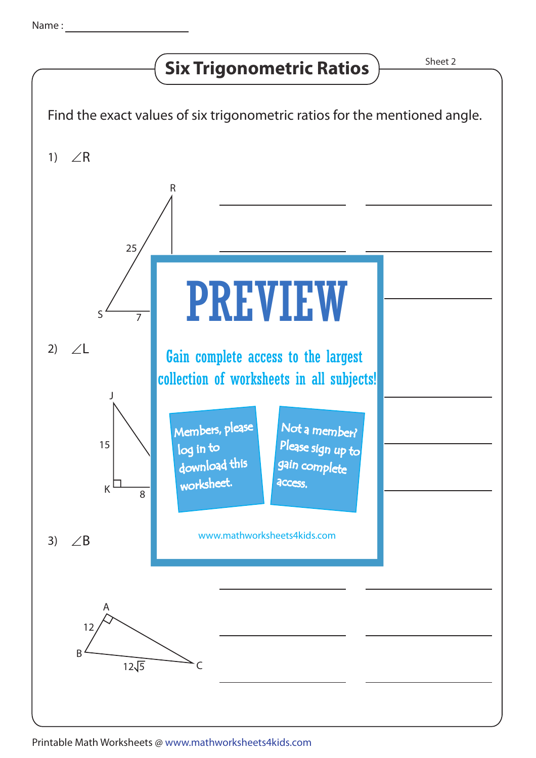## **Six Trigonometric Ratios**  $\overline{\smash{\big)}^{\text{Sheet 2}}}$